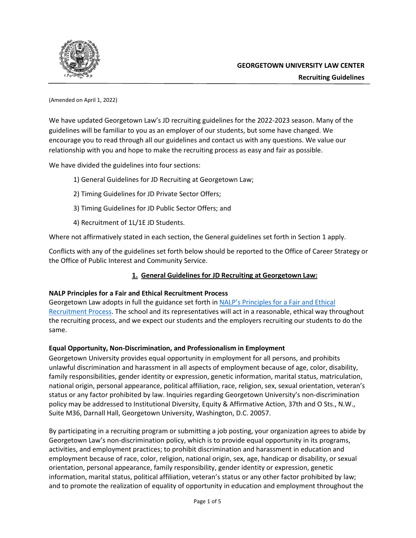

(Amended on April 1, 2022)

We have updated Georgetown Law's JD recruiting guidelines for the 2022-2023 season. Many of the guidelines will be familiar to you as an employer of our students, but some have changed. We encourage you to read through all our guidelines and contact us with any questions. We value our relationship with you and hope to make the recruiting process as easy and fair as possible.

We have divided the guidelines into four sections:

- 1) General Guidelines for JD Recruiting at Georgetown Law;
- 2) Timing Guidelines for JD Private Sector Offers;
- 3) Timing Guidelines for JD Public Sector Offers; and
- 4) Recruitment of 1L/1E JD Students.

Where not affirmatively stated in each section, the General guidelines set forth in Section 1 apply.

Conflicts with any of the guidelines set forth below should be reported to the Office of Career Strategy or the Office of Public Interest and Community Service.

## **1. General Guidelines for JD Recruiting at Georgetown Law:**

## **NALP Principles for a Fair and Ethical Recruitment Process**

Georgetown Law adopts in full the guidance set forth in [NALP's Principles for a Fair and Ethical](https://www.nalp.org/fair_ethical_recruitment) [Recruitment Process.](https://www.nalp.org/fair_ethical_recruitment) The school and its representatives will act in a reasonable, ethical way throughout the recruiting process, and we expect our students and the employers recruiting our students to do the same.

## **Equal Opportunity, Non-Discrimination, and Professionalism in Employment**

Georgetown University provides equal opportunity in employment for all persons, and prohibits unlawful discrimination and harassment in all aspects of employment because of age, color, disability, family responsibilities, gender identity or expression, genetic information, marital status, matriculation, national origin, personal appearance, political affiliation, race, religion, sex, sexual orientation, veteran's status or any factor prohibited by law. Inquiries regarding Georgetown University's non-discrimination policy may be addressed to Institutional Diversity, Equity & Affirmative Action, 37th and O Sts., N.W., Suite M36, Darnall Hall, Georgetown University, Washington, D.C. 20057.

By participating in a recruiting program or submitting a job posting, your organization agrees to abide by Georgetown Law's non-discrimination policy, which is to provide equal opportunity in its programs, activities, and employment practices; to prohibit discrimination and harassment in education and employment because of race, color, religion, national origin, sex, age, handicap or disability, or sexual orientation, personal appearance, family responsibility, gender identity or expression, genetic information, marital status, political affiliation, veteran's status or any other factor prohibited by law; and to promote the realization of equality of opportunity in education and employment throughout the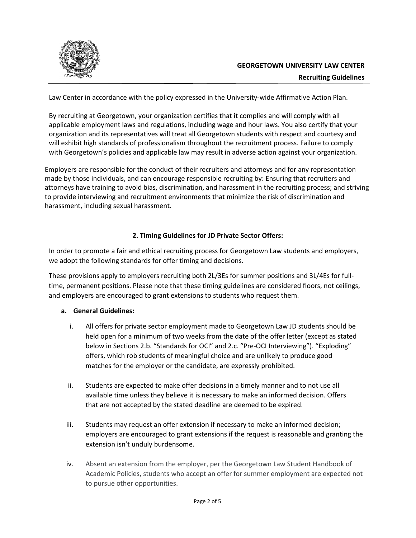

Law Center in accordance with the policy expressed in the University-wide Affirmative Action Plan.

By recruiting at Georgetown, your organization certifies that it complies and will comply with all applicable employment laws and regulations, including wage and hour laws. You also certify that your organization and its representatives will treat all Georgetown students with respect and courtesy and will exhibit high standards of professionalism throughout the recruitment process. Failure to comply with Georgetown's policies and applicable law may result in adverse action against your organization.

Employers are responsible for the conduct of their recruiters and attorneys and for any representation made by those individuals, and can encourage responsible recruiting by: Ensuring that recruiters and attorneys have training to avoid bias, discrimination, and harassment in the recruiting process; and striving to provide interviewing and recruitment environments that minimize the risk of discrimination and harassment, including sexual harassment.

## **2. Timing Guidelines for JD Private Sector Offers:**

In order to promote a fair and ethical recruiting process for Georgetown Law students and employers, we adopt the following standards for offer timing and decisions.

These provisions apply to employers recruiting both 2L/3Es for summer positions and 3L/4Es for fulltime, permanent positions. Please note that these timing guidelines are considered floors, not ceilings, and employers are encouraged to grant extensions to students who request them.

### **a. General Guidelines:**

- i. All offers for private sector employment made to Georgetown Law JD students should be held open for a minimum of two weeks from the date of the offer letter (except as stated below in Sections 2.b. "Standards for OCI" and 2.c. "Pre-OCI Interviewing"). "Exploding" offers, which rob students of meaningful choice and are unlikely to produce good matches for the employer or the candidate, are expressly prohibited.
- ii. Students are expected to make offer decisions in a timely manner and to not use all available time unless they believe it is necessary to make an informed decision. Offers that are not accepted by the stated deadline are deemed to be expired.
- iii. Students may request an offer extension if necessary to make an informed decision; employers are encouraged to grant extensions if the request is reasonable and granting the extension isn't unduly burdensome.
- iv. Absent an extension from the employer, per the Georgetown Law Student Handbook of Academic Policies, students who accept an offer for summer employment are expected not to pursue other opportunities.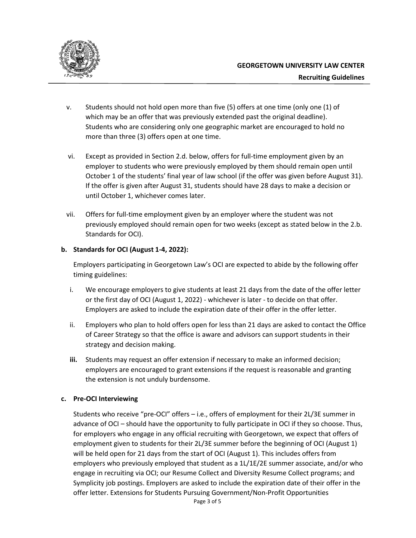

- v. Students should not hold open more than five (5) offers at one time (only one (1) of which may be an offer that was previously extended past the original deadline). Students who are considering only one geographic market are encouraged to hold no more than three (3) offers open at one time.
- vi. Except as provided in Section 2.d. below, offers for full-time employment given by an employer to students who were previously employed by them should remain open until October 1 of the students' final year of law school (if the offer was given before August 31). If the offer is given after August 31, students should have 28 days to make a decision or until October 1, whichever comes later.
- vii. Offers for full-time employment given by an employer where the student was not previously employed should remain open for two weeks (except as stated below in the 2.b. Standards for OCI).

#### **b. Standards for OCI (August 1-4, 2022):**

Employers participating in Georgetown Law's OCI are expected to abide by the following offer timing guidelines:

- i. We encourage employers to give students at least 21 days from the date of the offer letter or the first day of OCI (August 1, 2022) - whichever is later - to decide on that offer. Employers are asked to include the expiration date of their offer in the offer letter.
- ii. Employers who plan to hold offers open for less than 21 days are asked to contact the Office of Career Strategy so that the office is aware and advisors can support students in their strategy and decision making.
- **iii.** Students may request an offer extension if necessary to make an informed decision; employers are encouraged to grant extensions if the request is reasonable and granting the extension is not unduly burdensome.

### **c. Pre-OCI Interviewing**

Students who receive "pre-OCI" offers – i.e., offers of employment for their 2L/3E summer in advance of OCI – should have the opportunity to fully participate in OCI if they so choose. Thus, for employers who engage in any official recruiting with Georgetown, we expect that offers of employment given to students for their 2L/3E summer before the beginning of OCI (August 1) will be held open for 21 days from the start of OCI (August 1). This includes offers from employers who previously employed that student as a 1L/1E/2E summer associate, and/or who engage in recruiting via OCI; our Resume Collect and Diversity Resume Collect programs; and Symplicity job postings. Employers are asked to include the expiration date of their offer in the offer letter. Extensions for Students Pursuing Government/Non-Profit Opportunities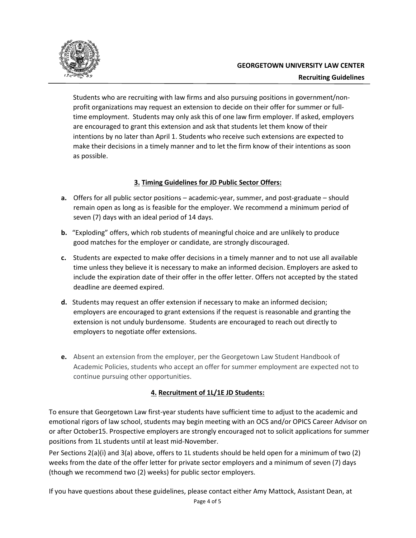

Students who are recruiting with law firms and also pursuing positions in government/nonprofit organizations may request an extension to decide on their offer for summer or fulltime employment. Students may only ask this of one law firm employer. If asked, employers are encouraged to grant this extension and ask that students let them know of their intentions by no later than April 1. Students who receive such extensions are expected to make their decisions in a timely manner and to let the firm know of their intentions as soon as possible.

## **3. Timing Guidelines for JD Public Sector Offers:**

- **a.** Offers for all public sector positions academic-year, summer, and post-graduate should remain open as long as is feasible for the employer. We recommend a minimum period of seven (7) days with an ideal period of 14 days.
- **b.** "Exploding" offers, which rob students of meaningful choice and are unlikely to produce good matches for the employer or candidate, are strongly discouraged.
- **c.** Students are expected to make offer decisions in a timely manner and to not use all available time unless they believe it is necessary to make an informed decision. Employers are asked to include the expiration date of their offer in the offer letter. Offers not accepted by the stated deadline are deemed expired.
- **d.** Students may request an offer extension if necessary to make an informed decision; employers are encouraged to grant extensions if the request is reasonable and granting the extension is not unduly burdensome. Students are encouraged to reach out directly to employers to negotiate offer extensions.
- **e.** Absent an extension from the employer, per the Georgetown Law Student Handbook of Academic Policies, students who accept an offer for summer employment are expected not to continue pursuing other opportunities.

# **4. Recruitment of 1L/1E JD Students:**

To ensure that Georgetown Law first-year students have sufficient time to adjust to the academic and emotional rigors of law school, students may begin meeting with an OCS and/or OPICS Career Advisor on or after October15. Prospective employers are strongly encouraged not to solicit applications for summer positions from 1L students until at least mid-November.

Per Sections 2(a)(i) and 3(a) above, offers to 1L students should be held open for a minimum of two (2) weeks from the date of the offer letter for private sector employers and a minimum of seven (7) days (though we recommend two (2) weeks) for public sector employers.

If you have questions about these guidelines, please contact either Amy Mattock, Assistant Dean, at